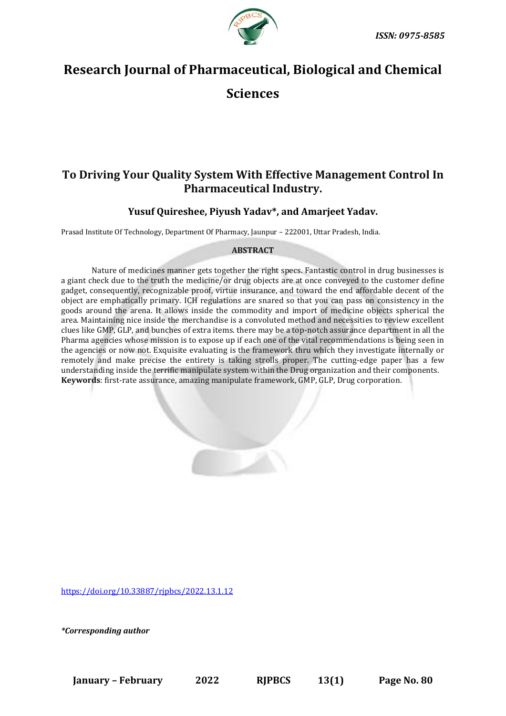

# **Research Journal of Pharmaceutical, Biological and Chemical**

**Sciences**

# **To Driving Your Quality System With Effective Management Control In Pharmaceutical Industry.**

# **Yusuf Quireshee, Piyush Yadav\*, and Amarjeet Yadav.**

Prasad Institute Of Technology, Department Of Pharmacy, Jaunpur – 222001, Uttar Pradesh, India.

# **ABSTRACT**

Nature of medicines manner gets together the right specs. Fantastic control in drug businesses is a giant check due to the truth the medicine/or drug objects are at once conveyed to the customer define gadget, consequently, recognizable proof, virtue insurance, and toward the end affordable decent of the object are emphatically primary. ICH regulations are snared so that you can pass on consistency in the goods around the arena. It allows inside the commodity and import of medicine objects spherical the area. Maintaining nice inside the merchandise is a convoluted method and necessities to review excellent clues like GMP, GLP, and bunches of extra items. there may be a top-notch assurance department in all the Pharma agencies whose mission is to expose up if each one of the vital recommendations is being seen in the agencies or now not. Exquisite evaluating is the framework thru which they investigate internally or remotely and make precise the entirety is taking strolls proper. The cutting-edge paper has a few understanding inside the terrific manipulate system within the Drug organization and their components. **Keywords**: first-rate assurance, amazing manipulate framework, GMP, GLP, Drug corporation.

[https://doi.org/10.33887/rjpbcs/2022.13.1.12](https://doi.org/10.33887/rjpbcs/2022.13.1.1)

*\*Corresponding author*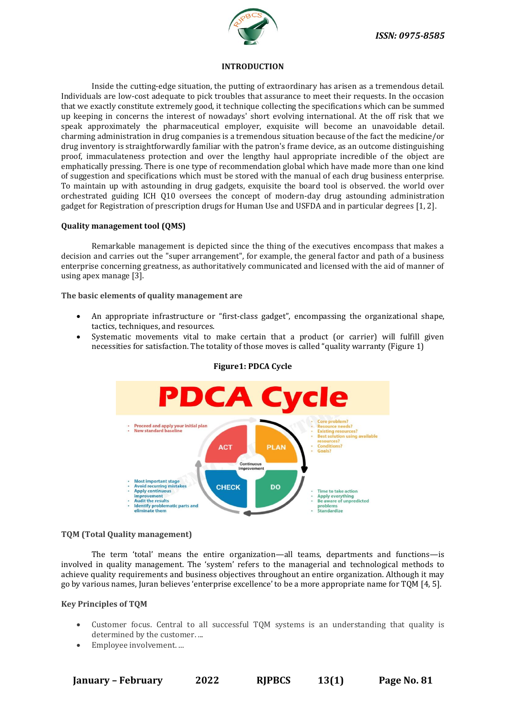

#### **INTRODUCTION**

Inside the cutting-edge situation, the putting of extraordinary has arisen as a tremendous detail. Individuals are low-cost adequate to pick troubles that assurance to meet their requests. In the occasion that we exactly constitute extremely good, it technique collecting the specifications which can be summed up keeping in concerns the interest of nowadays' short evolving international. At the off risk that we speak approximately the pharmaceutical employer, exquisite will become an unavoidable detail. charming administration in drug companies is a tremendous situation because of the fact the medicine/or drug inventory is straightforwardly familiar with the patron's frame device, as an outcome distinguishing proof, immaculateness protection and over the lengthy haul appropriate incredible of the object are emphatically pressing. There is one type of recommendation global which have made more than one kind of suggestion and specifications which must be stored with the manual of each drug business enterprise. To maintain up with astounding in drug gadgets, exquisite the board tool is observed. the world over orchestrated guiding ICH Q10 oversees the concept of modern-day drug astounding administration gadget for Registration of prescription drugs for Human Use and USFDA and in particular degrees [1, 2].

#### **Quality management tool (QMS)**

Remarkable management is depicted since the thing of the executives encompass that makes a decision and carries out the "super arrangement", for example, the general factor and path of a business enterprise concerning greatness, as authoritatively communicated and licensed with the aid of manner of using apex manage [3].

#### **The basic elements of quality management are**

- An appropriate infrastructure or "first-class gadget", encompassing the organizational shape, tactics, techniques, and resources.
- Systematic movements vital to make certain that a product (or carrier) will fulfill given necessities for satisfaction. The totality of those moves is called "quality warranty (Figure 1)



#### **Figure1: PDCA Cycle**

#### **TQM (Total Quality management)**

The term 'total' means the entire organization—all teams, departments and functions—is involved in quality management. The 'system' refers to the managerial and technological methods to achieve quality requirements and business objectives throughout an entire organization. Although it may go by various names, Juran believes 'enterprise excellence' to be a more appropriate name for TQM [4, 5].

#### **Key Principles of TQM**

- Customer focus. Central to all successful TQM systems is an understanding that quality is determined by the customer. ...
- Employee involvement. ...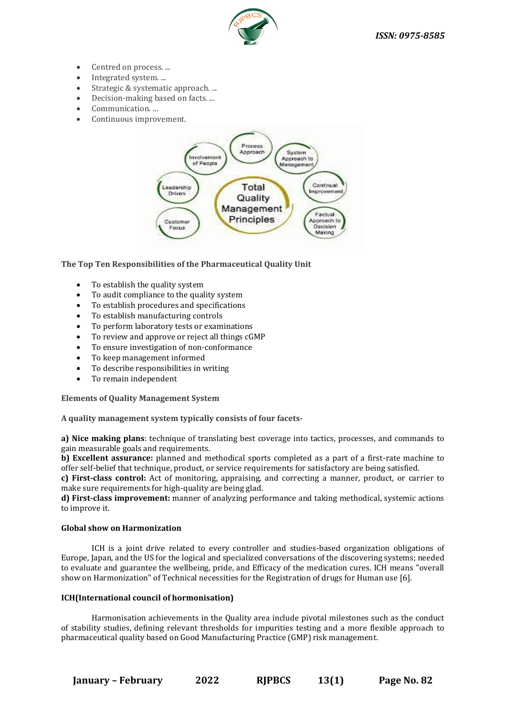

- Centred on process. ...
- Integrated system. ...
- Strategic & systematic approach. ...
- Decision-making based on facts....
- Communication. ...
- Continuous improvement.



**The Top Ten Responsibilities of the Pharmaceutical Quality Unit**

- To establish the quality system
- To audit compliance to the quality system
- To establish procedures and specifications
- To establish manufacturing controls
- To perform laboratory tests or examinations
- To review and approve or reject all things cGMP
- To ensure investigation of non-conformance
- To keep management informed
- To describe responsibilities in writing
- To remain independent

# **Elements of Quality Management System**

**A quality management system typically consists of four facets-**

**a) Nice making plans**: technique of translating best coverage into tactics, processes, and commands to gain measurable goals and requirements.

**b) Excellent assurance:** planned and methodical sports completed as a part of a first-rate machine to offer self-belief that technique, product, or service requirements for satisfactory are being satisfied.

**c) First-class control:** Act of monitoring, appraising, and correcting a manner, product, or carrier to make sure requirements for high-quality are being glad.

**d) First-class improvement:** manner of analyzing performance and taking methodical, systemic actions to improve it.

# **Global show on Harmonization**

ICH is a joint drive related to every controller and studies-based organization obligations of Europe, Japan, and the US for the logical and specialized conversations of the discovering systems; needed to evaluate and guarantee the wellbeing, pride, and Efficacy of the medication cures. ICH means "overall show on Harmonization" of Technical necessities for the Registration of drugs for Human use [6].

# **ICH(International council of hormonisation)**

Harmonisation achievements in the Quality area include pivotal milestones such as the conduct of stability studies, defining relevant thresholds for impurities testing and a more flexible approach to pharmaceutical quality based on Good Manufacturing Practice (GMP) risk management.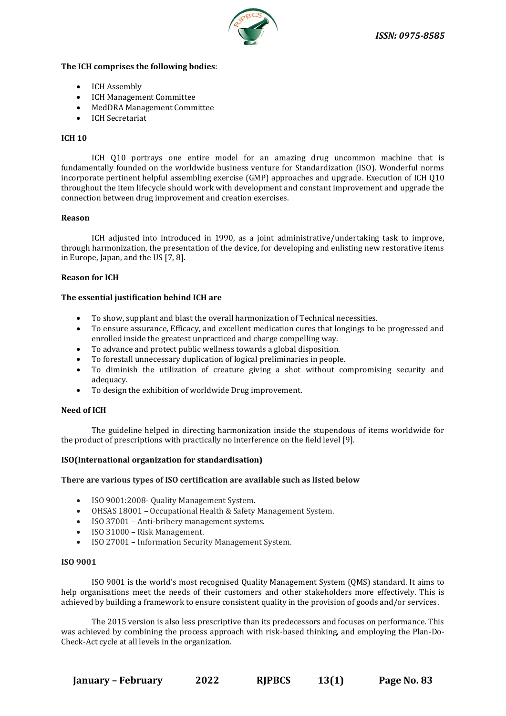

#### **The ICH comprises the following bodies**:

- ICH Assembly
- ICH Management Committee
- MedDRA Management Committee
- ICH Secretariat

#### **ICH 10**

ICH Q10 portrays one entire model for an amazing drug uncommon machine that is fundamentally founded on the worldwide business venture for Standardization (ISO). Wonderful norms incorporate pertinent helpful assembling exercise (GMP) approaches and upgrade. Execution of ICH Q10 throughout the item lifecycle should work with development and constant improvement and upgrade the connection between drug improvement and creation exercises.

#### **Reason**

ICH adjusted into introduced in 1990, as a joint administrative/undertaking task to improve, through harmonization, the presentation of the device, for developing and enlisting new restorative items in Europe, Japan, and the US [7, 8].

## **Reason for ICH**

## **The essential justification behind ICH are**

- To show, supplant and blast the overall harmonization of Technical necessities.
- To ensure assurance, Efficacy, and excellent medication cures that longings to be progressed and enrolled inside the greatest unpracticed and charge compelling way.
- To advance and protect public wellness towards a global disposition.
- To forestall unnecessary duplication of logical preliminaries in people.
- To diminish the utilization of creature giving a shot without compromising security and adequacy.
- To design the exhibition of worldwide Drug improvement.

#### **Need of ICH**

The guideline helped in directing harmonization inside the stupendous of items worldwide for the product of prescriptions with practically no interference on the field level [9].

#### **ISO(International organization for standardisation)**

#### **There are various types of ISO certification are available such as listed below**

- ISO 9001:2008- Quality Management System.
- OHSAS 18001 Occupational Health & Safety Management System.
- ISO 37001 Anti-bribery management systems.
- ISO 31000 Risk Management.
- ISO 27001 Information Security Management System.

#### **ISO 9001**

ISO 9001 is the world's most recognised Quality Management System (QMS) standard. It aims to help organisations meet the needs of their customers and other stakeholders more effectively. This is achieved by building a framework to ensure consistent quality in the provision of goods and/or services.

The 2015 version is also less prescriptive than its predecessors and focuses on performance. This was achieved by combining the process approach with risk-based thinking, and employing the Plan-Do-Check-Act cycle at all levels in the organization.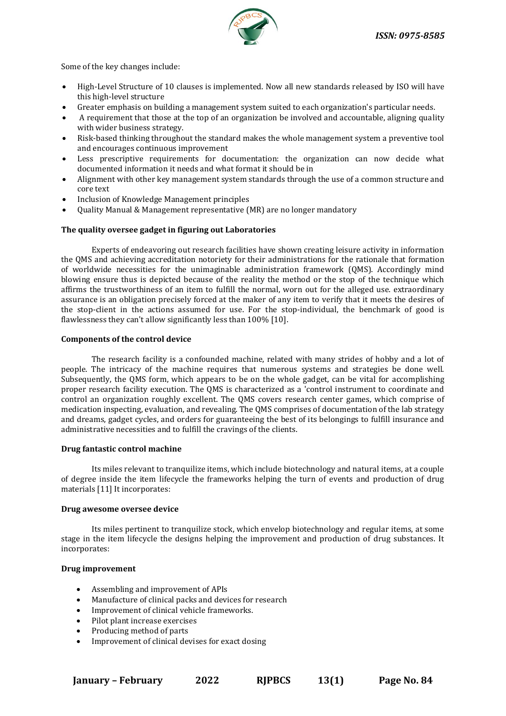

Some of the key changes include:

- High-Level Structure of 10 clauses is implemented. Now all new standards released by ISO will have this high-level structure
- Greater emphasis on building a management system suited to each organization's particular needs.
- A requirement that those at the top of an organization be involved and accountable, aligning quality with wider business strategy.
- Risk-based thinking throughout the standard makes the whole management system a preventive tool and encourages continuous improvement
- Less prescriptive requirements for documentation: the organization can now decide what documented information it needs and what format it should be in
- Alignment with other key management system standards through the use of a common structure and core text
- Inclusion of Knowledge Management principles
- Quality Manual & Management representative (MR) are no longer mandatory

## **The quality oversee gadget in figuring out Laboratories**

Experts of endeavoring out research facilities have shown creating leisure activity in information the QMS and achieving accreditation notoriety for their administrations for the rationale that formation of worldwide necessities for the unimaginable administration framework (QMS). Accordingly mind blowing ensure thus is depicted because of the reality the method or the stop of the technique which affirms the trustworthiness of an item to fulfill the normal, worn out for the alleged use. extraordinary assurance is an obligation precisely forced at the maker of any item to verify that it meets the desires of the stop-client in the actions assumed for use. For the stop-individual, the benchmark of good is flawlessness they can't allow significantly less than 100% [10].

#### **Components of the control device**

The research facility is a confounded machine, related with many strides of hobby and a lot of people. The intricacy of the machine requires that numerous systems and strategies be done well. Subsequently, the QMS form, which appears to be on the whole gadget, can be vital for accomplishing proper research facility execution. The QMS is characterized as a 'control instrument to coordinate and control an organization roughly excellent. The QMS covers research center games, which comprise of medication inspecting, evaluation, and revealing. The QMS comprises of documentation of the lab strategy and dreams, gadget cycles, and orders for guaranteeing the best of its belongings to fulfill insurance and administrative necessities and to fulfill the cravings of the clients.

#### **Drug fantastic control machine**

Its miles relevant to tranquilize items, which include biotechnology and natural items, at a couple of degree inside the item lifecycle the frameworks helping the turn of events and production of drug materials [11] It incorporates:

#### **Drug awesome oversee device**

Its miles pertinent to tranquilize stock, which envelop biotechnology and regular items, at some stage in the item lifecycle the designs helping the improvement and production of drug substances. It incorporates:

#### **Drug improvement**

- Assembling and improvement of APIs
- Manufacture of clinical packs and devices for research
- Improvement of clinical vehicle frameworks.
- Pilot plant increase exercises
- Producing method of parts
- Improvement of clinical devises for exact dosing